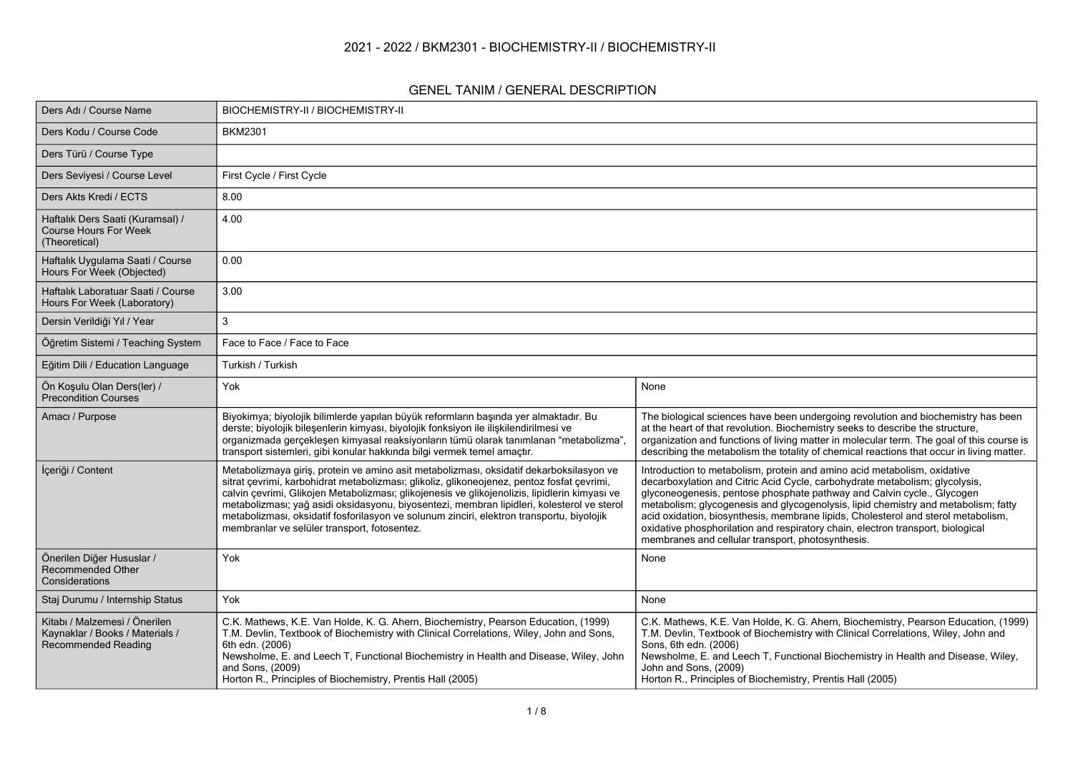### **2021 - 2022 / BKM2301 - BIOCHEMISTRY-II / BIOCHEMISTRY-II**

#### **GENEL TANIM / GENERAL DESCRIPTION**

| Ders Adı / Course Name                                                                  | BIOCHEMISTRY-II / BIOCHEMISTRY-II                                                                                                                                                                                                                                                                                                                                                                                                                                                                                                 |                                                                                                                                                                                                                                                                                                                                                                                                                                                                                                                                                      |
|-----------------------------------------------------------------------------------------|-----------------------------------------------------------------------------------------------------------------------------------------------------------------------------------------------------------------------------------------------------------------------------------------------------------------------------------------------------------------------------------------------------------------------------------------------------------------------------------------------------------------------------------|------------------------------------------------------------------------------------------------------------------------------------------------------------------------------------------------------------------------------------------------------------------------------------------------------------------------------------------------------------------------------------------------------------------------------------------------------------------------------------------------------------------------------------------------------|
| Ders Kodu / Course Code                                                                 | <b>BKM2301</b>                                                                                                                                                                                                                                                                                                                                                                                                                                                                                                                    |                                                                                                                                                                                                                                                                                                                                                                                                                                                                                                                                                      |
| Ders Türü / Course Type                                                                 |                                                                                                                                                                                                                                                                                                                                                                                                                                                                                                                                   |                                                                                                                                                                                                                                                                                                                                                                                                                                                                                                                                                      |
| Ders Seviyesi / Course Level                                                            | First Cycle / First Cycle                                                                                                                                                                                                                                                                                                                                                                                                                                                                                                         |                                                                                                                                                                                                                                                                                                                                                                                                                                                                                                                                                      |
| Ders Akts Kredi / ECTS                                                                  | 8.00                                                                                                                                                                                                                                                                                                                                                                                                                                                                                                                              |                                                                                                                                                                                                                                                                                                                                                                                                                                                                                                                                                      |
| Haftalık Ders Saati (Kuramsal) /<br><b>Course Hours For Week</b><br>(Theoretical)       | 4.00                                                                                                                                                                                                                                                                                                                                                                                                                                                                                                                              |                                                                                                                                                                                                                                                                                                                                                                                                                                                                                                                                                      |
| Haftalık Uygulama Saati / Course<br>Hours For Week (Objected)                           | 0.00                                                                                                                                                                                                                                                                                                                                                                                                                                                                                                                              |                                                                                                                                                                                                                                                                                                                                                                                                                                                                                                                                                      |
| Haftalık Laboratuar Saati / Course<br>Hours For Week (Laboratory)                       | 3.00                                                                                                                                                                                                                                                                                                                                                                                                                                                                                                                              |                                                                                                                                                                                                                                                                                                                                                                                                                                                                                                                                                      |
| Dersin Verildiği Yıl / Year                                                             | 3                                                                                                                                                                                                                                                                                                                                                                                                                                                                                                                                 |                                                                                                                                                                                                                                                                                                                                                                                                                                                                                                                                                      |
| Öğretim Sistemi / Teaching System                                                       | Face to Face / Face to Face                                                                                                                                                                                                                                                                                                                                                                                                                                                                                                       |                                                                                                                                                                                                                                                                                                                                                                                                                                                                                                                                                      |
| Eğitim Dili / Education Language                                                        | Turkish / Turkish                                                                                                                                                                                                                                                                                                                                                                                                                                                                                                                 |                                                                                                                                                                                                                                                                                                                                                                                                                                                                                                                                                      |
| Ön Koşulu Olan Ders(ler) /<br>Precondition Courses                                      | Yok                                                                                                                                                                                                                                                                                                                                                                                                                                                                                                                               | None                                                                                                                                                                                                                                                                                                                                                                                                                                                                                                                                                 |
| Amacı / Purpose                                                                         | Biyokimya; biyolojik bilimlerde yapılan büyük reformların başında yer almaktadır. Bu<br>derste; biyolojik bileşenlerin kimyası, biyolojik fonksiyon ile ilişkilendirilmesi ve<br>organizmada gerçekleşen kimyasal reaksiyonların tümü olarak tanımlanan "metabolizma"<br>transport sistemleri, gibi konular hakkında bilgi vermek temel amaçtır.                                                                                                                                                                                  | The biological sciences have been undergoing revolution and biochemistry has been<br>at the heart of that revolution. Biochemistry seeks to describe the structure,<br>organization and functions of living matter in molecular term. The goal of this course is<br>describing the metabolism the totality of chemical reactions that occur in living matter.                                                                                                                                                                                        |
| İçeriği / Content                                                                       | Metabolizmaya giriş, protein ve amino asit metabolizması, oksidatif dekarboksilasyon ve<br>sitrat çevrimi, karbohidrat metabolizması; glikoliz, glikoneojenez, pentoz fosfat çevrimi,<br>calvin çevrimi, Glikojen Metabolizması; glikojenesis ve glikojenolizis, lipidlerin kimyası ve<br>metabolizması; yağ asidi oksidasyonu, biyosentezi, membran lipidleri, kolesterol ve sterol<br>metabolizması, oksidatif fosforilasyon ve solunum zinciri, elektron transportu, biyolojik<br>membranlar ve selüler transport, fotosentez. | Introduction to metabolism, protein and amino acid metabolism, oxidative<br>decarboxylation and Citric Acid Cycle, carbohydrate metabolism; glycolysis,<br>glyconeogenesis, pentose phosphate pathway and Calvin cycle., Glycogen<br>metabolism; glycogenesis and glycogenolysis, lipid chemistry and metabolism; fatty<br>acid oxidation, biosynthesis, membrane lipids, Cholesterol and sterol metabolism,<br>oxidative phosphorilation and respiratory chain, electron transport, biological<br>membranes and cellular transport, photosynthesis. |
| Önerilen Diğer Hususlar /<br>Recommended Other<br>Considerations                        | Yok                                                                                                                                                                                                                                                                                                                                                                                                                                                                                                                               | None                                                                                                                                                                                                                                                                                                                                                                                                                                                                                                                                                 |
| Staj Durumu / Internship Status                                                         | Yok                                                                                                                                                                                                                                                                                                                                                                                                                                                                                                                               | None                                                                                                                                                                                                                                                                                                                                                                                                                                                                                                                                                 |
| Kitabı / Malzemesi / Önerilen<br>Kaynaklar / Books / Materials /<br>Recommended Reading | C.K. Mathews, K.E. Van Holde, K. G. Ahern, Biochemistry, Pearson Education, (1999)<br>T.M. Devlin, Textbook of Biochemistry with Clinical Correlations, Wiley, John and Sons,<br>6th edn. (2006)<br>Newsholme, E. and Leech T, Functional Biochemistry in Health and Disease, Wiley, John<br>and Sons, (2009)<br>Horton R., Principles of Biochemistry, Prentis Hall (2005)                                                                                                                                                       | C.K. Mathews, K.E. Van Holde, K. G. Ahern, Biochemistry, Pearson Education, (1999)<br>T.M. Devlin, Textbook of Biochemistry with Clinical Correlations, Wiley, John and<br>Sons, 6th edn. (2006)<br>Newsholme, E. and Leech T, Functional Biochemistry in Health and Disease, Wiley,<br>John and Sons, (2009)<br>Horton R., Principles of Biochemistry, Prentis Hall (2005)                                                                                                                                                                          |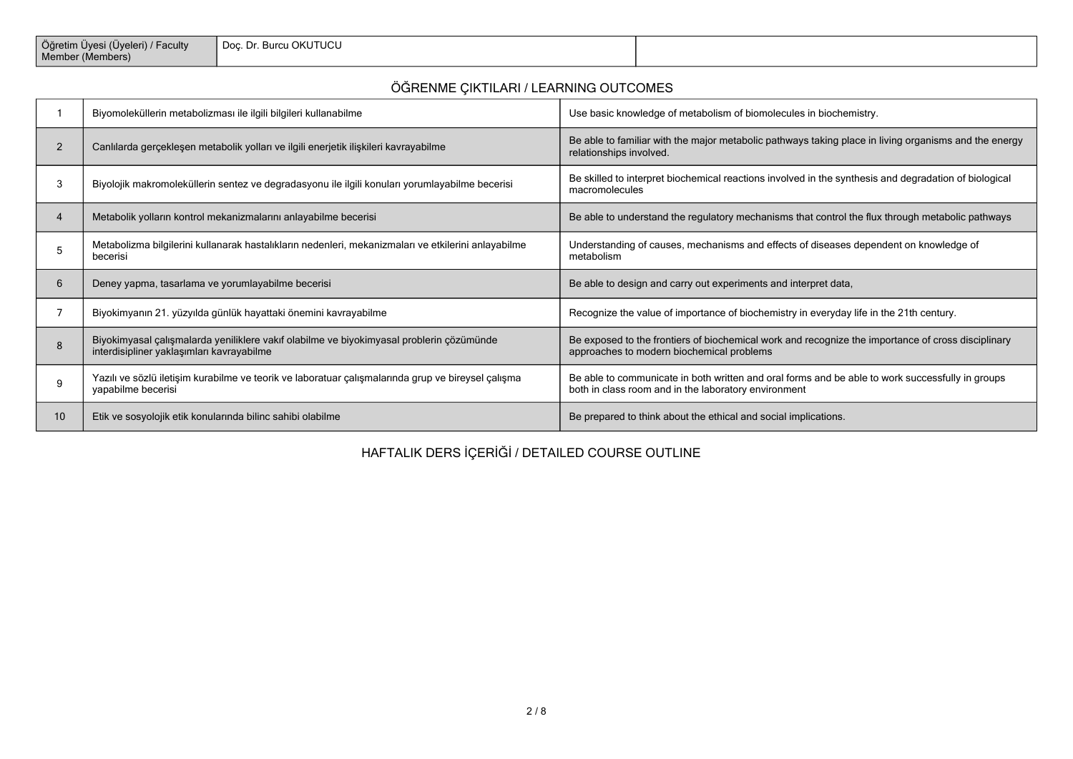| Oăretim<br>'Jyeleri) / Faculty<br>Uvesi (Uvele<br>Member<br>(Members) | ı OKUTUCU<br>Doc. Di<br>Burci |  |
|-----------------------------------------------------------------------|-------------------------------|--|
|-----------------------------------------------------------------------|-------------------------------|--|

## **ÖĞRENME ÇIKTILARI / LEARNING OUTCOMES**

|                | Biyomoleküllerin metabolizması ile ilgili bilgileri kullanabilme                                                                      | Use basic knowledge of metabolism of biomolecules in biochemistry.                                                                                       |
|----------------|---------------------------------------------------------------------------------------------------------------------------------------|----------------------------------------------------------------------------------------------------------------------------------------------------------|
| $\overline{2}$ | Canlılarda gerçekleşen metabolik yolları ve ilgili enerjetik ilişkileri kavrayabilme                                                  | Be able to familiar with the major metabolic pathways taking place in living organisms and the energy<br>relationships involved.                         |
| 3              | Biyolojik makromoleküllerin sentez ve degradasyonu ile ilgili konuları yorumlayabilme becerisi                                        | Be skilled to interpret biochemical reactions involved in the synthesis and degradation of biological<br>macromolecules                                  |
|                | Metabolik yolların kontrol mekanizmalarını anlayabilme becerisi                                                                       | Be able to understand the regulatory mechanisms that control the flux through metabolic pathways                                                         |
| 5              | Metabolizma bilgilerini kullanarak hastalıkların nedenleri, mekanizmaları ve etkilerini anlayabilme<br>becerisi                       | Understanding of causes, mechanisms and effects of diseases dependent on knowledge of<br>metabolism                                                      |
| 6              | Deney yapma, tasarlama ve yorumlayabilme becerisi                                                                                     | Be able to design and carry out experiments and interpret data,                                                                                          |
|                | Biyokimyanın 21. yüzyılda günlük hayattaki önemini kavrayabilme                                                                       | Recognize the value of importance of biochemistry in everyday life in the 21th century.                                                                  |
| 8              | Biyokimyasal çalışmalarda yeniliklere vakıf olabilme ve biyokimyasal problerin çözümünde<br>interdisipliner yaklaşımları kavrayabilme | Be exposed to the frontiers of biochemical work and recognize the importance of cross disciplinary<br>approaches to modern biochemical problems          |
| 9              | Yazılı ve sözlü iletişim kurabilme ve teorik ve laboratuar çalışmalarında grup ve bireysel çalışma<br>vapabilme becerisi              | Be able to communicate in both written and oral forms and be able to work successfully in groups<br>both in class room and in the laboratory environment |
| 10             | Etik ve sosyolojik etik konularında bilinc sahibi olabilme                                                                            | Be prepared to think about the ethical and social implications.                                                                                          |

## **HAFTALIK DERS İÇERİĞİ / DETAILED COURSE OUTLINE**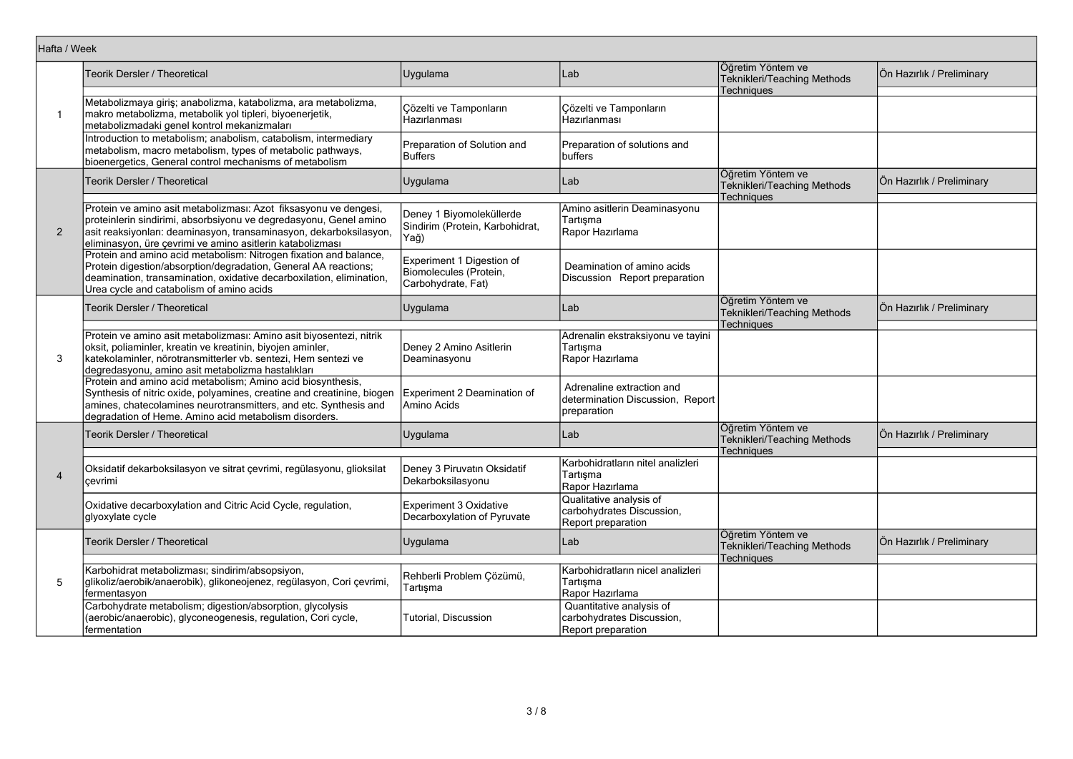|                | Hafta / Week                                                                                                                                                                                                                                                             |                                                                           |                                                                              |                                                                       |                           |  |  |
|----------------|--------------------------------------------------------------------------------------------------------------------------------------------------------------------------------------------------------------------------------------------------------------------------|---------------------------------------------------------------------------|------------------------------------------------------------------------------|-----------------------------------------------------------------------|---------------------------|--|--|
|                | Teorik Dersler / Theoretical                                                                                                                                                                                                                                             | Uygulama                                                                  | Lab                                                                          | Öğretim Yöntem ve<br>Teknikleri/Teaching Methods<br><b>Techniques</b> | Ön Hazırlık / Preliminary |  |  |
| $\overline{1}$ | Metabolizmaya giriş; anabolizma, katabolizma, ara metabolizma,<br>makro metabolizma, metabolik yol tipleri, biyoenerjetik,<br>metabolizmadaki genel kontrol mekanizmaları                                                                                                | Cözelti ve Tamponların<br>Hazırlanması                                    | Cözelti ve Tamponların<br>Hazırlanması                                       |                                                                       |                           |  |  |
|                | Introduction to metabolism; anabolism, catabolism, intermediary<br>metabolism, macro metabolism, types of metabolic pathways,<br>bioenergetics, General control mechanisms of metabolism                                                                                 | Preparation of Solution and<br>Buffers                                    | Preparation of solutions and<br>buffers                                      |                                                                       |                           |  |  |
|                | Teorik Dersler / Theoretical                                                                                                                                                                                                                                             | Uygulama                                                                  | Lab                                                                          | Öğretim Yöntem ve<br>Teknikleri/Teaching Methods<br>Techniques        | Ön Hazırlık / Preliminary |  |  |
| 2              | Protein ve amino asit metabolizması: Azot fiksasyonu ve dengesi,<br>proteinlerin sindirimi, absorbsiyonu ve degredasyonu, Genel amino<br>asit reaksiyonları: deaminasyon, transaminasyon, dekarboksilasyon,<br>eliminasyon, üre çevrimi ve amino asitlerin katabolizması | Deney 1 Biyomoleküllerde<br>Sindirim (Protein, Karbohidrat,<br>Yağ)       | Amino asitlerin Deaminasyonu<br>Tartışma<br>Rapor Hazırlama                  |                                                                       |                           |  |  |
|                | Protein and amino acid metabolism: Nitrogen fixation and balance,<br>Protein digestion/absorption/degradation, General AA reactions;<br>deamination, transamination, oxidative decarboxilation, elimination,<br>Urea cycle and catabolism of amino acids                 | Experiment 1 Digestion of<br>Biomolecules (Protein,<br>Carbohydrate, Fat) | Deamination of amino acids<br>Discussion Report preparation                  |                                                                       |                           |  |  |
|                | Teorik Dersler / Theoretical                                                                                                                                                                                                                                             | Uygulama                                                                  | Lab                                                                          | Öğretim Yöntem ve<br>Teknikleri/Teaching Methods<br>Techniques        | Ön Hazırlık / Preliminary |  |  |
| 3              | Protein ve amino asit metabolizması: Amino asit biyosentezi, nitrik<br>oksit, poliaminler, kreatin ve kreatinin, biyojen aminler,<br>katekolaminler, nörotransmitterler vb. sentezi, Hem sentezi ve<br>degredasyonu, amino asit metabolizma hastalıkları                 | Deney 2 Amino Asitlerin<br>Deaminasyonu                                   | Adrenalin ekstraksiyonu ve tayini<br>Tartışma<br>Rapor Hazırlama             |                                                                       |                           |  |  |
|                | Protein and amino acid metabolism; Amino acid biosynthesis,<br>Synthesis of nitric oxide, polyamines, creatine and creatinine, biogen<br>amines, chatecolamines neurotransmitters, and etc. Synthesis and<br>degradation of Heme. Amino acid metabolism disorders.       | Experiment 2 Deamination of<br>Amino Acids                                | Adrenaline extraction and<br>determination Discussion, Report<br>preparation |                                                                       |                           |  |  |
|                | Teorik Dersler / Theoretical                                                                                                                                                                                                                                             | Uygulama                                                                  | Lab                                                                          | Öğretim Yöntem ve<br>Teknikleri/Teaching Methods<br>Techniques        | Ön Hazırlık / Preliminary |  |  |
| $\overline{4}$ | Oksidatif dekarboksilasyon ve sitrat çevrimi, regülasyonu, glioksilat<br>cevrimi                                                                                                                                                                                         | Deney 3 Piruvatin Oksidatif<br>Dekarboksilasyonu                          | Karbohidratların nitel analizleri<br>Tartisma<br>Rapor Hazırlama             |                                                                       |                           |  |  |
|                | Oxidative decarboxylation and Citric Acid Cycle, regulation,<br>glyoxylate cycle                                                                                                                                                                                         | Experiment 3 Oxidative<br>Decarboxylation of Pyruvate                     | Qualitative analysis of<br>carbohydrates Discussion,<br>Report preparation   |                                                                       |                           |  |  |
|                | Teorik Dersler / Theoretical                                                                                                                                                                                                                                             | Uygulama                                                                  | Lab                                                                          | Öğretim Yöntem ve<br>Teknikleri/Teaching Methods<br>Techniques        | Ön Hazırlık / Preliminary |  |  |
| 5              | Karbohidrat metabolizması; sindirim/absopsiyon,<br>glikoliz/aerobik/anaerobik), glikoneojenez, regülasyon, Cori çevrimi,<br>fermentasyon                                                                                                                                 | Rehberli Problem Çözümü,<br>Tartışma                                      | Karbohidratların nicel analizleri<br>Tartışma<br>Rapor Hazırlama             |                                                                       |                           |  |  |
|                | Carbohydrate metabolism; digestion/absorption, glycolysis<br>(aerobic/anaerobic), glyconeogenesis, regulation, Cori cycle,<br>fermentation                                                                                                                               | Tutorial, Discussion                                                      | Quantitative analysis of<br>carbohydrates Discussion,<br>Report preparation  |                                                                       |                           |  |  |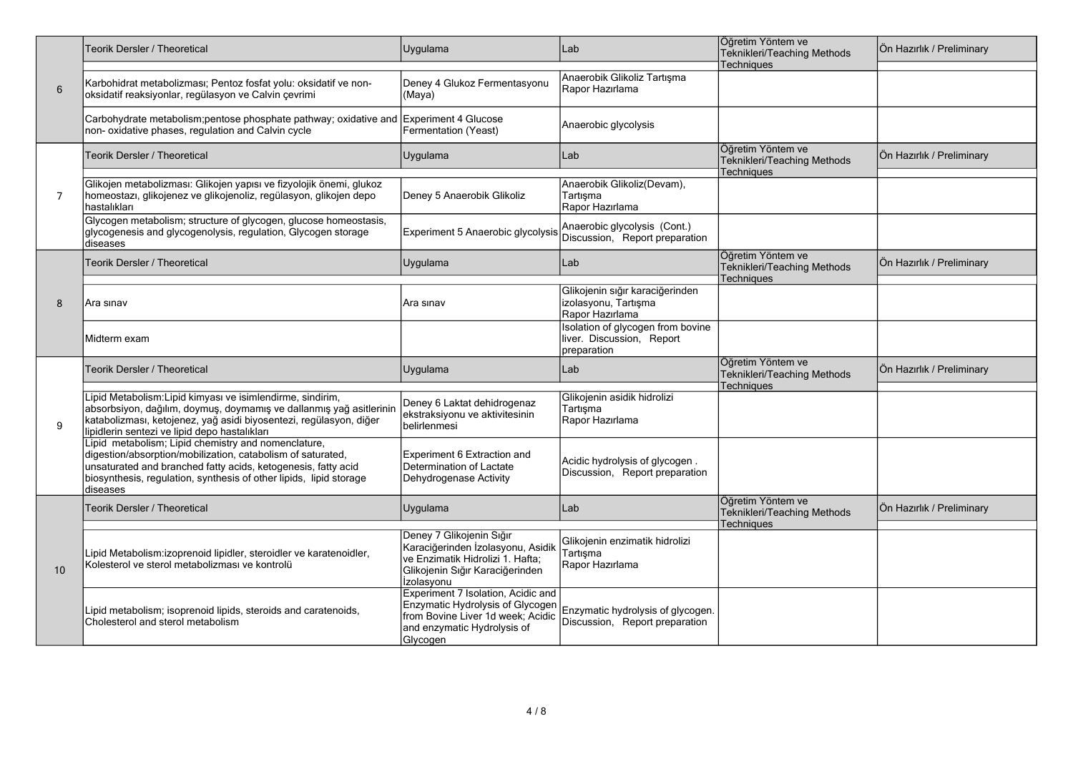|                | Teorik Dersler / Theoretical                                                                                                                                                                                                                                          | Uygulama<br>Lab                                                                                                                                        |                                                                               | Öğretim Yöntem ve<br>Teknikleri/Teaching Methods                      | Ön Hazırlık / Preliminary |
|----------------|-----------------------------------------------------------------------------------------------------------------------------------------------------------------------------------------------------------------------------------------------------------------------|--------------------------------------------------------------------------------------------------------------------------------------------------------|-------------------------------------------------------------------------------|-----------------------------------------------------------------------|---------------------------|
| 6              | Karbohidrat metabolizması; Pentoz fosfat yolu: oksidatif ve non-<br>oksidatif reaksiyonlar, regülasyon ve Calvin çevrimi                                                                                                                                              | Deney 4 Glukoz Fermentasyonu<br>(Maya)                                                                                                                 | Anaerobik Glikoliz Tartışma<br>Rapor Hazırlama                                | Techniques                                                            |                           |
|                | Carbohydrate metabolism;pentose phosphate pathway; oxidative and<br>non- oxidative phases, regulation and Calvin cycle                                                                                                                                                | Experiment 4 Glucose<br>Fermentation (Yeast)                                                                                                           | Anaerobic glycolysis                                                          |                                                                       |                           |
|                | Teorik Dersler / Theoretical                                                                                                                                                                                                                                          | Uygulama                                                                                                                                               | Lab                                                                           | Öğretim Yöntem ve<br>Teknikleri/Teaching Methods<br>Techniques        | Ön Hazırlık / Preliminary |
| $\overline{7}$ | Glikojen metabolizması: Glikojen yapısı ve fizyolojik önemi, glukoz<br>homeostazı, glikojenez ve glikojenoliz, regülasyon, glikojen depo<br>hastalıkları                                                                                                              | Deney 5 Anaerobik Glikoliz                                                                                                                             | Anaerobik Glikoliz(Devam),<br>Tartisma<br>Rapor Hazırlama                     |                                                                       |                           |
|                | Glycogen metabolism; structure of glycogen, glucose homeostasis,<br>glycogenesis and glycogenolysis, regulation, Glycogen storage<br>diseases                                                                                                                         | Experiment 5 Anaerobic glycolysis                                                                                                                      | Anaerobic glycolysis (Cont.)<br>Discussion, Report preparation                |                                                                       |                           |
|                | Teorik Dersler / Theoretical                                                                                                                                                                                                                                          | Uygulama                                                                                                                                               | Lab                                                                           | Öğretim Yöntem ve<br>Teknikleri/Teaching Methods<br>Techniques        | Ön Hazırlık / Preliminary |
| 8              | Ara sinav                                                                                                                                                                                                                                                             | lAra sınav                                                                                                                                             | Glikojenin sığır karaciğerinden<br>izolasyonu, Tartışma<br>Rapor Hazırlama    |                                                                       |                           |
|                | Midterm exam                                                                                                                                                                                                                                                          |                                                                                                                                                        | Isolation of glycogen from bovine<br>liver. Discussion, Report<br>preparation |                                                                       |                           |
|                | Teorik Dersler / Theoretical                                                                                                                                                                                                                                          | Uygulama                                                                                                                                               | Lab                                                                           | Öğretim Yöntem ve<br>Teknikleri/Teaching Methods<br><b>Techniques</b> | Ön Hazırlık / Preliminary |
| 9              | Lipid Metabolism: Lipid kimyası ve isimlendirme, sindirim,<br>absorbsiyon, dağılım, doymuş, doymamış ve dallanmış yağ asitlerinin<br>katabolizması, ketojenez, yağ asidi biyosentezi, regülasyon, diğer<br>lipidlerin sentezi ve lipid depo hastalıkları              | Deney 6 Laktat dehidrogenaz<br>ekstraksiyonu ve aktivitesinin<br>belirlenmesi                                                                          | Glikojenin asidik hidrolizi<br>Tartisma<br>Rapor Hazırlama                    |                                                                       |                           |
|                | Lipid metabolism; Lipid chemistry and nomenclature,<br>digestion/absorption/mobilization, catabolism of saturated,<br>unsaturated and branched fatty acids, ketogenesis, fatty acid<br>biosynthesis, regulation, synthesis of other lipids, lipid storage<br>diseases | Experiment 6 Extraction and<br>Determination of Lactate<br>Dehydrogenase Activity                                                                      | Acidic hydrolysis of glycogen.<br>Discussion, Report preparation              |                                                                       |                           |
|                | Teorik Dersler / Theoretical                                                                                                                                                                                                                                          | Uygulama                                                                                                                                               | Lab                                                                           | Öğretim Yöntem ve<br>Teknikleri/Teaching Methods<br><b>Techniques</b> | Ön Hazırlık / Preliminary |
| 10             | Lipid Metabolism:izoprenoid lipidler, steroidler ve karatenoidler,<br>Kolesterol ve sterol metabolizması ve kontrolü                                                                                                                                                  | Deney 7 Glikojenin Sığır<br>Karaciğerinden İzolasyonu, Asidik<br>ve Enzimatik Hidrolizi 1. Hafta;<br>Glikojenin Sığır Karaciğerinden<br>Izolasyonu     | Glikojenin enzimatik hidrolizi<br>Tartisma<br>Rapor Hazırlama                 |                                                                       |                           |
|                | Lipid metabolism; isoprenoid lipids, steroids and caratenoids,<br>Cholesterol and sterol metabolism                                                                                                                                                                   | Experiment 7 Isolation, Acidic and<br>Enzymatic Hydrolysis of Glycogen<br>from Bovine Liver 1d week; Acidic<br>and enzymatic Hydrolysis of<br>Glycogen | Enzymatic hydrolysis of glycogen.<br>Discussion, Report preparation           |                                                                       |                           |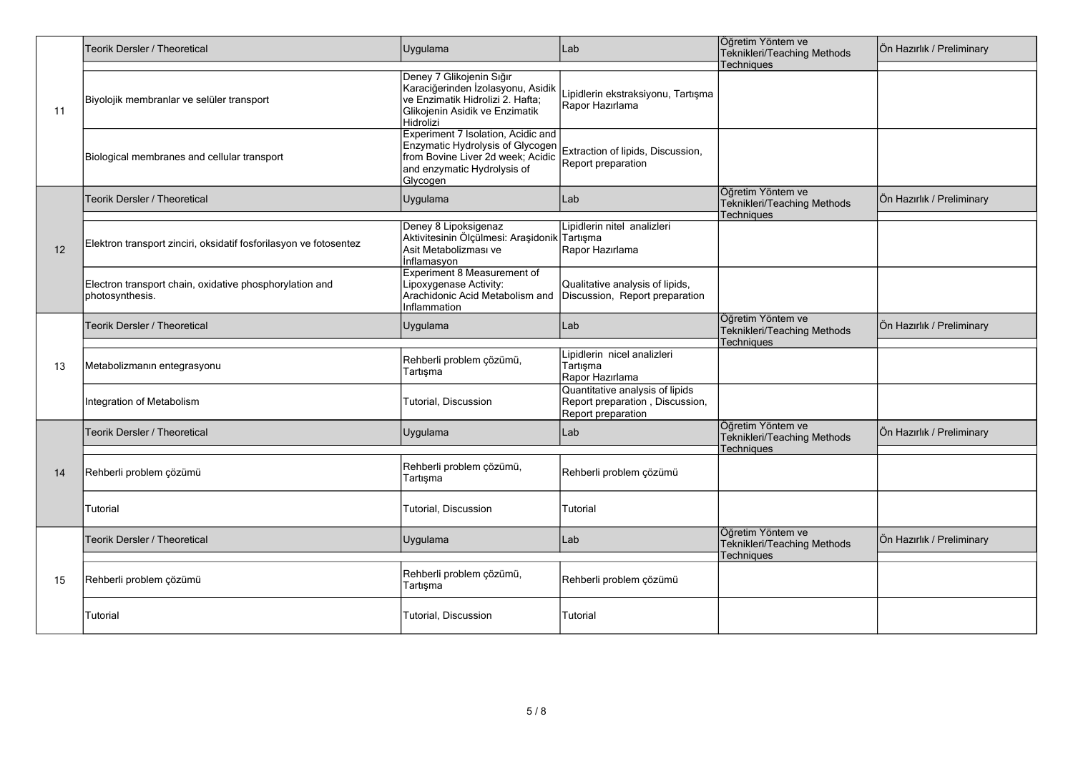|     | <b>Teorik Dersler / Theoretical</b>                                        | Uygulama                                                                                                                                               | Lab                                                                                      | Öğretim Yöntem ve<br>Teknikleri/Teaching Methods                      | Ön Hazırlık / Preliminary |
|-----|----------------------------------------------------------------------------|--------------------------------------------------------------------------------------------------------------------------------------------------------|------------------------------------------------------------------------------------------|-----------------------------------------------------------------------|---------------------------|
| 11  | Biyolojik membranlar ve selüler transport                                  | Deney 7 Glikojenin Sığır<br>Karaciğerinden İzolasyonu, Asidik<br>ve Enzimatik Hidrolizi 2. Hafta;<br>Glikojenin Asidik ve Enzimatik<br>Hidrolizi       | Lipidlerin ekstraksiyonu, Tartışma<br>Rapor Hazırlama                                    | Techniques                                                            |                           |
|     | Biological membranes and cellular transport                                | Experiment 7 Isolation, Acidic and<br>Enzymatic Hydrolysis of Glycogen<br>from Bovine Liver 2d week; Acidic<br>and enzymatic Hydrolysis of<br>Glycogen | Extraction of lipids, Discussion,<br>Report preparation                                  |                                                                       |                           |
|     | <b>Teorik Dersler / Theoretical</b>                                        | Uygulama                                                                                                                                               | Lab                                                                                      | Öğretim Yöntem ve<br>Teknikleri/Teaching Methods                      | Ön Hazırlık / Preliminary |
| 12  | Elektron transport zinciri, oksidatif fosforilasyon ve fotosentez          | Deney 8 Lipoksigenaz<br>Aktivitesinin Ölçülmesi: Araşidonik Tartışma<br>Asit Metabolizması ve<br>Inflamasyon                                           | Lipidlerin nitel analizleri<br>Rapor Hazırlama                                           | <b>Techniques</b>                                                     |                           |
|     | Electron transport chain, oxidative phosphorylation and<br>photosynthesis. | Experiment 8 Measurement of<br>Lipoxygenase Activity:<br>Arachidonic Acid Metabolism and<br>Inflammation                                               | Qualitative analysis of lipids,<br>Discussion, Report preparation                        |                                                                       |                           |
|     | <b>Teorik Dersler / Theoretical</b>                                        | Uygulama                                                                                                                                               | Lab                                                                                      | Öğretim Yöntem ve<br>Teknikleri/Teaching Methods<br><b>Techniques</b> | Ön Hazırlık / Preliminary |
| -13 | Metabolizmanın entegrasyonu                                                | Rehberli problem çözümü,<br>Tartışma                                                                                                                   | Lipidlerin nicel analizleri<br>Tartışma<br>Rapor Hazırlama                               |                                                                       |                           |
|     | Integration of Metabolism                                                  | Tutorial, Discussion                                                                                                                                   | Quantitative analysis of lipids<br>Report preparation, Discussion,<br>Report preparation |                                                                       |                           |
|     | <b>Teorik Dersler / Theoretical</b>                                        | Uygulama                                                                                                                                               | Lab                                                                                      | Öğretim Yöntem ve<br>Teknikleri/Teaching Methods<br>Techniques        | Ön Hazırlık / Preliminary |
| 14  | Rehberli problem çözümü                                                    | Rehberli problem çözümü,<br>Tartışma                                                                                                                   | Rehberli problem çözümü                                                                  |                                                                       |                           |
|     | Tutorial                                                                   | Tutorial, Discussion                                                                                                                                   | Tutorial                                                                                 |                                                                       |                           |
|     | <b>Feorik Dersler / Theoretical</b>                                        | Uygulama                                                                                                                                               | Lab                                                                                      | Öğretim Yöntem ve<br>Teknikleri/Teaching Methods<br>Techniques        | Ön Hazırlık / Preliminary |
| 15  | Rehberli problem çözümü                                                    | Rehberli problem çözümü,<br>Tartışma                                                                                                                   | Rehberli problem çözümü                                                                  |                                                                       |                           |
|     | Tutorial                                                                   | Tutorial, Discussion                                                                                                                                   | Tutorial                                                                                 |                                                                       |                           |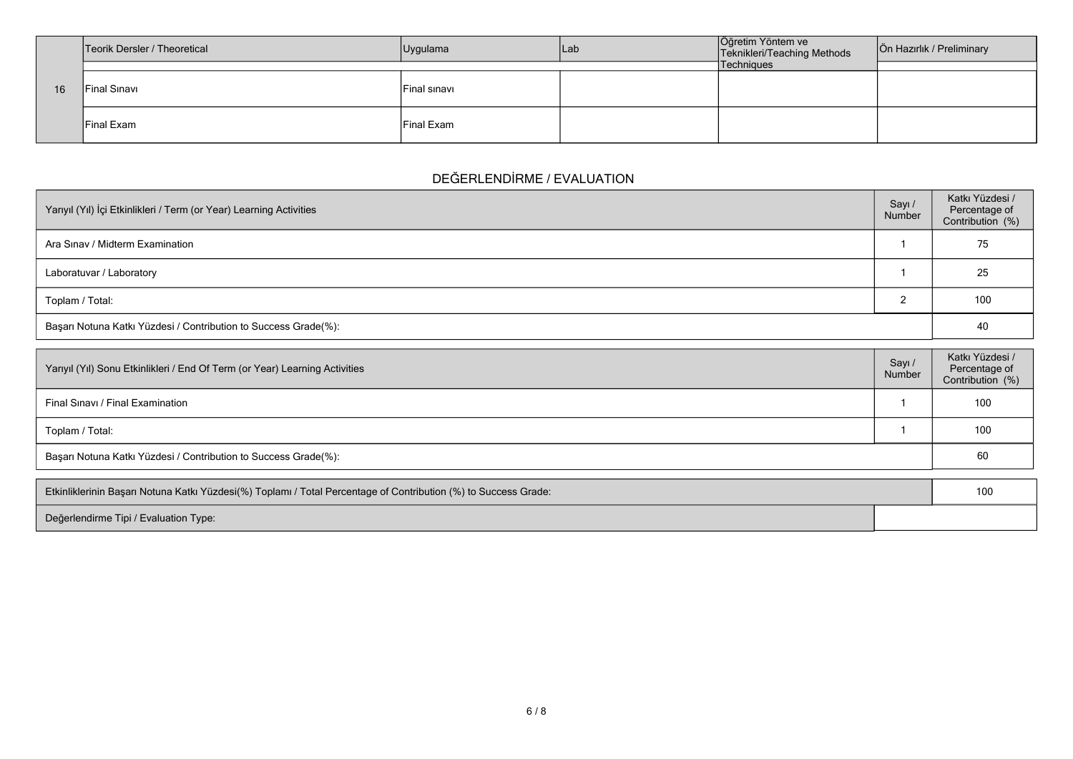|    | Teorik Dersler / Theoretical | Uygulama     | lLab | Öğretim Yöntem ve<br>Teknikleri/Teaching Methods | Ön Hazırlık / Preliminary |
|----|------------------------------|--------------|------|--------------------------------------------------|---------------------------|
|    |                              |              |      | Techniques                                       |                           |
| 16 | Final Sınavı                 | Final sinavi |      |                                                  |                           |
|    | <b>Final Exam</b>            | Final Exam   |      |                                                  |                           |

## **DEĞERLENDİRME / EVALUATION**

| Yarıyıl (Yıl) İçi Etkinlikleri / Term (or Year) Learning Activities | Sayı /<br>Number | Katkı Yüzdesi /<br>Percentage of<br>Contribution (%) |  |  |  |
|---------------------------------------------------------------------|------------------|------------------------------------------------------|--|--|--|
| Ara Sinav / Midterm Examination                                     |                  | 75                                                   |  |  |  |
| Laboratuvar / Laboratory                                            |                  | 25                                                   |  |  |  |
| Toplam / Total:                                                     |                  | 100                                                  |  |  |  |
| Başarı Notuna Katkı Yüzdesi / Contribution to Success Grade(%):     |                  |                                                      |  |  |  |

| Yarıyıl (Yıl) Sonu Etkinlikleri / End Of Term (or Year) Learning Activities |  | Katkı Yüzdesi /<br>Percentage of<br>Contribution (%) |  |  |  |
|-----------------------------------------------------------------------------|--|------------------------------------------------------|--|--|--|
| Final Sinavi / Final Examination                                            |  | 100                                                  |  |  |  |
| Toplam / Total:                                                             |  | 100                                                  |  |  |  |
| Başarı Notuna Katkı Yüzdesi / Contribution to Success Grade(%):             |  |                                                      |  |  |  |

| Etkinliklerinin Başarı Notuna Katkı Yüzdesi(%) Toplamı / Total Percentage of Contribution (%) to Success Grade: |  |
|-----------------------------------------------------------------------------------------------------------------|--|
| Değerlendirme Tipi / Evaluation Type:                                                                           |  |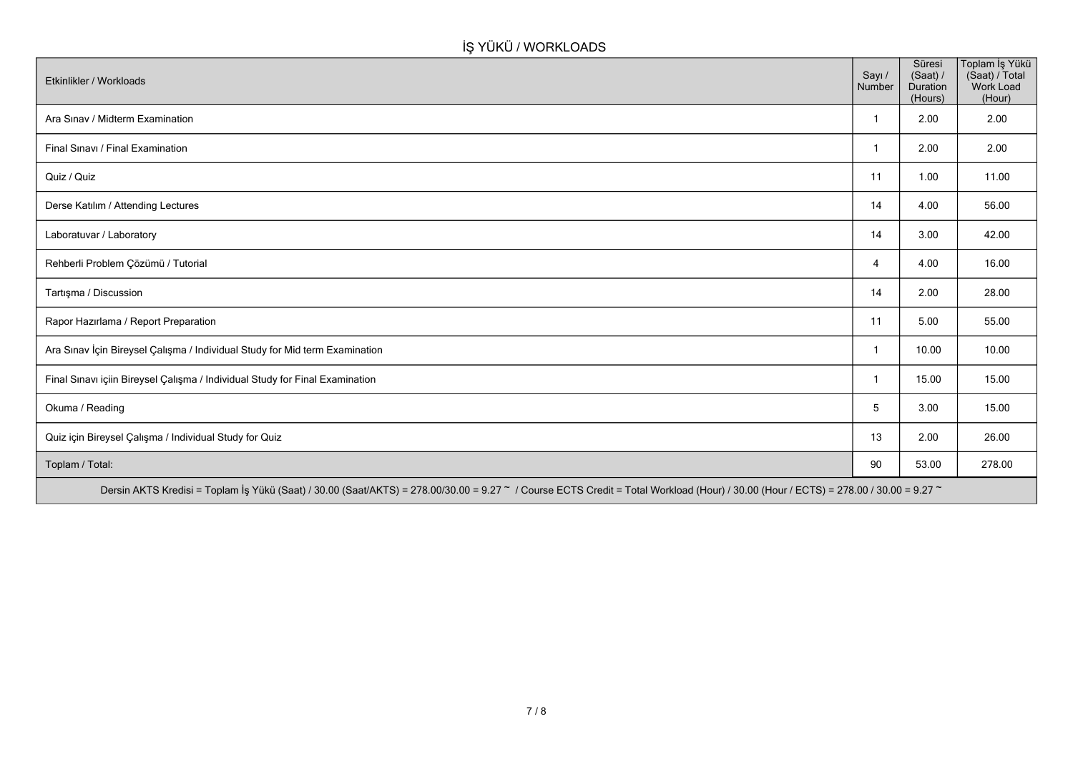# **İŞ YÜKÜ / WORKLOADS**

| Etkinlikler / Workloads                                                                                                                                                              | Sayı /<br>Number | Süresi<br>(Saat) /<br>Duration<br>(Hours) | Toplam İş Yükü<br>(Saat) / Total<br>Work Load<br>(Hour) |  |  |  |
|--------------------------------------------------------------------------------------------------------------------------------------------------------------------------------------|------------------|-------------------------------------------|---------------------------------------------------------|--|--|--|
| Ara Sınav / Midterm Examination                                                                                                                                                      | -1               | 2.00                                      | 2.00                                                    |  |  |  |
| Final Sınavı / Final Examination                                                                                                                                                     | -1               | 2.00                                      | 2.00                                                    |  |  |  |
| Quiz / Quiz                                                                                                                                                                          | 11               | 1.00                                      | 11.00                                                   |  |  |  |
| Derse Katılım / Attending Lectures                                                                                                                                                   | 14               | 4.00                                      | 56.00                                                   |  |  |  |
| Laboratuvar / Laboratory                                                                                                                                                             | 14               | 3.00                                      | 42.00                                                   |  |  |  |
| Rehberli Problem Çözümü / Tutorial                                                                                                                                                   | $\overline{4}$   | 4.00                                      | 16.00                                                   |  |  |  |
| Tartışma / Discussion                                                                                                                                                                | 14               | 2.00                                      | 28.00                                                   |  |  |  |
| Rapor Hazırlama / Report Preparation                                                                                                                                                 | 11               | 5.00                                      | 55.00                                                   |  |  |  |
| Ara Sınav İçin Bireysel Çalışma / Individual Study for Mid term Examination                                                                                                          | -1               | 10.00                                     | 10.00                                                   |  |  |  |
| Final Sınavı içiin Bireysel Çalışma / Individual Study for Final Examination                                                                                                         | -1               | 15.00                                     | 15.00                                                   |  |  |  |
| Okuma / Reading                                                                                                                                                                      | 5                | 3.00                                      | 15.00                                                   |  |  |  |
| Quiz için Bireysel Çalışma / Individual Study for Quiz                                                                                                                               | 13               | 2.00                                      | 26.00                                                   |  |  |  |
| Toplam / Total:                                                                                                                                                                      | 90               | 53.00                                     | 278.00                                                  |  |  |  |
| Dersin AKTS Kredisi = Toplam İş Yükü (Saat) / 30.00 (Saat/AKTS) = 278.00/30.00 = 9.27 ~ / Course ECTS Credit = Total Workload (Hour) / 30.00 (Hour / ECTS) = 278.00 / 30.00 = 9.27 ~ |                  |                                           |                                                         |  |  |  |